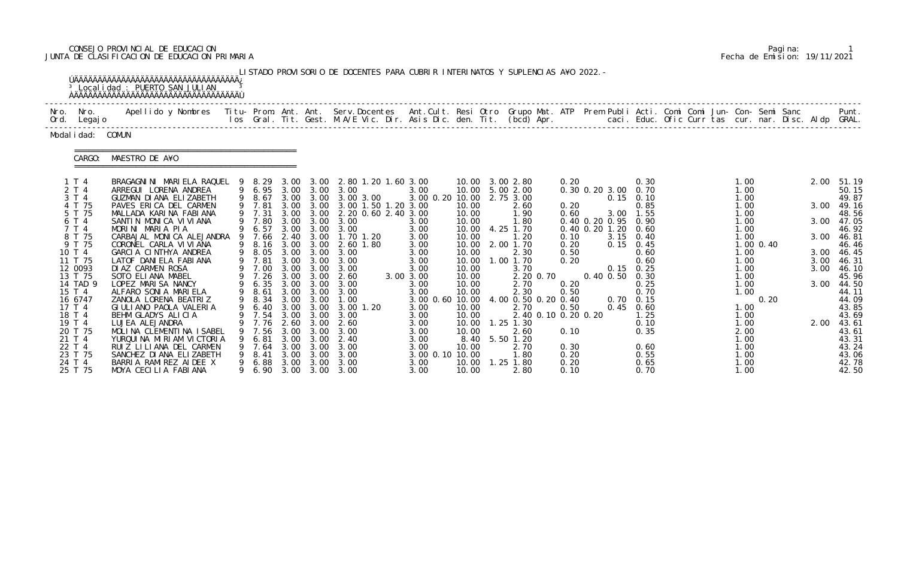# CONSEJO PROVINCIAL DE EDUCACION Pagina: 1 JUNTA DE CLASIFICACION DE EDUCACION PRIMARIA Fecha de Emision: 19/11/2021

| LISTADO PROVISORIO DE DOCENTES PARA CUBRIR INTERINATOS Y SUPLENCIAS A¥O 2022. -<br><sup>3</sup> Local i dad : PUERTO SAN JULIAN |                                                                                                                                                                                                                                   |        |                                  |                      |                                   |                                                                     |                                 |                                  |  |                                                    |                      |                                            |                                          |                      |                |                      |                                  |
|---------------------------------------------------------------------------------------------------------------------------------|-----------------------------------------------------------------------------------------------------------------------------------------------------------------------------------------------------------------------------------|--------|----------------------------------|----------------------|-----------------------------------|---------------------------------------------------------------------|---------------------------------|----------------------------------|--|----------------------------------------------------|----------------------|--------------------------------------------|------------------------------------------|----------------------|----------------|----------------------|----------------------------------|
| Nro. Nro.<br>Ord. Legajo                                                                                                        | Apellido y Nombres - Titu- Prom. Ant. Ant. Serv.Docentes - Ant.Cult. Resi Otro Grupo Mat. ATP Prem Publi Acti. Comi Comi Jun- Con- Semi Sanc - - - - Punt.<br>Ios Gral. Tit. Gest. M.A/E Vic. Dir. Asis Dic. den. Tit. (bcd) Apr. |        |                                  |                      |                                   |                                                                     |                                 |                                  |  |                                                    |                      |                                            |                                          |                      |                |                      |                                  |
| Modal i dad: COMUN                                                                                                              |                                                                                                                                                                                                                                   |        |                                  |                      |                                   |                                                                     |                                 |                                  |  |                                                    |                      |                                            |                                          |                      |                |                      |                                  |
| CARGO:                                                                                                                          | MAESTRO DE A¥O                                                                                                                                                                                                                    |        |                                  |                      |                                   |                                                                     |                                 |                                  |  |                                                    |                      |                                            |                                          |                      |                |                      |                                  |
| 1T4<br>2 T 4<br>3 T 4                                                                                                           | BRAGAGNINI MARIELA RAQUEL 9<br>ARREGUI LORENA ANDREA<br>GUZMAN DI ANA ELIZABETH                                                                                                                                                   |        | 8. 29<br>9 8.67                  |                      | 3.00 3.00                         | 2.80 1.20 1.60 3.00<br>9 6.95 3.00 3.00 3.00<br>3.00 3.00 3.00 3.00 | 3.00<br>3.00 0.20 10.00         | 10.00                            |  | 10.00 3.00 2.80<br>5.00 2.00<br>2.75 3.00          | 0.20                 | 0.30 0.20 3.00 0.70                        | 0.30<br>$0.15$ 0.10                      | 1.00<br>1.00<br>1.00 |                | 2.00                 | 51.19<br>50.15<br>49.87          |
| 4 T 75<br>5 T 75<br>6 T 4                                                                                                       | PAVES ERICA DEL CARMEN<br>MALLADA KARINA FABIANA<br>SANTIN MONICA VIVIANA                                                                                                                                                         |        | 9 7.81<br>9 7.31<br>9 7.80       | 3.00                 | 3.00                              | 3.00 3.00 3.00 1.50 1.20 3.00<br>2.20 0.60 2.40 3.00<br>3.00        |                                 | 10.00<br>10.00                   |  | 2.60<br>1.90                                       | 0.20<br>0.60         |                                            | 0.85<br>3.00 1.55                        | 1.00<br>1.00         |                | 3.00<br>3.00         | 49.16<br>48.56                   |
| 7 T 4<br>8 T 75<br>9 T 75                                                                                                       | MORINI MARIA PIA<br>CARBAJAL MONICA ALEJANDRA<br>CORONEL CARLA VI VI ANA                                                                                                                                                          | 9<br>9 | 9 6.57<br>7.66<br>8.16           | 3.00<br>2.40<br>3.00 | 3.00<br>3.00 3.00<br>3.00<br>3.00 | 3.00<br>1.70 1.20<br>2.60 1.80                                      | 3.00<br>3.00<br>3.00<br>3.00    | 10.00<br>10.00<br>10.00<br>10.00 |  | 1.80<br>4.25 1.70<br>1.20<br>2.00 1.70             | 0.10<br>0.20         | 0.40 0.20 0.95 0.90<br>0.40 0.20 1.20 0.60 | $3.15$ 0.40<br>$0.15 \quad 0.45$         | 1.00<br>1.00<br>1.00 | $1.00 \, 0.40$ | 3.00                 | 47.05<br>46.92<br>46.81<br>46.46 |
| 10 T 4<br>11 T 75<br>12 0093                                                                                                    | GARCIA CINTHYA ANDREA<br>LATOF DANIELA FABIANA<br>DIAZ CARMEN ROSA                                                                                                                                                                |        | 9 8.05<br>9 7.81<br>9 7.00       | 3.00<br>3.00         | 3.00 3.00<br>3.00<br>3.00         | 3.00<br>3.00<br>3.00                                                | 3.00<br>3.00<br>3.00            | 10.00<br>10.00<br>10.00          |  | 2.30<br>1.00 1.70<br>3.70                          | 0.50<br>0.20         |                                            | 0.60<br>0.60<br>$0.15 \quad 0.25$        | 1.00<br>1.00<br>1.00 |                | 3.00<br>3.00<br>3.00 | 46.45<br>46.31<br>46.10          |
| 13 T 75<br>14 TAD 9<br>15 T 4                                                                                                   | SOTO ELIANA MABEL<br>LOPEZ MARISA NANCY<br>ALFARO SONIA MARIELA                                                                                                                                                                   | 9      | 9 7.26<br>6.35<br>8.61           | 3.00                 | 3.00 3.00<br>3.00<br>3.00 3.00    | 2.60<br>3.00<br>3.00                                                | 3.00 3.00<br>3.00<br>3.00       | 10.00<br>10.00<br>10.00          |  | 2.20 0.70<br>2.70<br>2.30                          | 0.20<br>0.50         | 0.40 0.50                                  | 0.30<br>0.25<br>0.70                     | 1.00<br>1.00<br>1.00 |                | 3.00                 | 45.96<br>44.50<br>44.11          |
| 16 6747<br>17 T 4<br>18 T 4                                                                                                     | ZANOLA LORENA BEATRIZ<br>GIULIANO PAOLA VALERIA<br>BEHM GLADYS ALICIA                                                                                                                                                             | 9      | 8.34<br>6.40<br>9 7.54 3.00 3.00 |                      |                                   | 3.00 3.00 1.00<br>3.00 3.00 3.00<br>3.00 1.20<br>3.00               | 3.00 0.60 10.00<br>3.00<br>3.00 | 10.00<br>10.00                   |  | 4.00 0.50 0.20 0.40<br>2.70<br>2.40 0.10 0.20 0.20 | 0.50                 |                                            | $0.70 \quad 0.15$<br>$0.45$ 0.60<br>1.25 | 1.00<br>1.00         | 0.20           |                      | 44.09<br>43.85<br>43.69          |
| 19 T 4<br>20 T 75<br>21 T 4                                                                                                     | LUJEA ALEJANDRA<br>MOLINA CLEMENTINA ISABEL<br>YURQUINA MIRIAM VICTORIA                                                                                                                                                           |        | 7.76<br>7.56<br>6.81             | 2.60<br>3.00<br>3.00 | 3.00<br>3.00<br>3.00              | 2.60<br>3.00<br>2.40                                                | 3.00<br>3.00<br>3.00            | 10.00<br>10.00<br>8.40           |  | 1.25 1.30<br>2.60<br>5.50 1.20                     | 0.10                 |                                            | 0.10<br>0.35                             | 1.00<br>2.00<br>1.00 |                | 2.00                 | 43.61<br>43.61<br>43.31          |
| 22 T 4<br>23 T 75<br>24 T 4                                                                                                     | RUIZ LILIANA DEL CARMEN<br>SANCHEZ DI ANA ELIZABETH<br>BARRIA RAMIREZ AIDEE X                                                                                                                                                     |        | 7.64<br>8.41<br>6.88             | 3.00<br>3.00<br>3.00 | 3.00<br>3.00<br>3.00              | 3.00<br>3.00<br>3.00                                                | 3.00<br>3.00 0.10 10.00<br>3.00 | 10.00<br>10.00                   |  | 2.70<br>1.80<br>1.25 1.80                          | 0.30<br>0.20<br>0.20 |                                            | 0.60<br>0.55<br>0.65                     | 1.00<br>1.00<br>1.00 |                |                      | 43.24<br>43.06<br>42.78          |
| 25 T 75                                                                                                                         | MOYA CECILIA FABIANA                                                                                                                                                                                                              |        | 6.90                             |                      |                                   | 3.00 3.00 3.00                                                      | 3.00                            | 10.00                            |  | 2.80                                               | 0.10                 |                                            | 0.70                                     | 1.00                 |                |                      | 42.50                            |

|  | Pagi na: |                              |
|--|----------|------------------------------|
|  |          | Fecha de Emision: 19/11/2021 |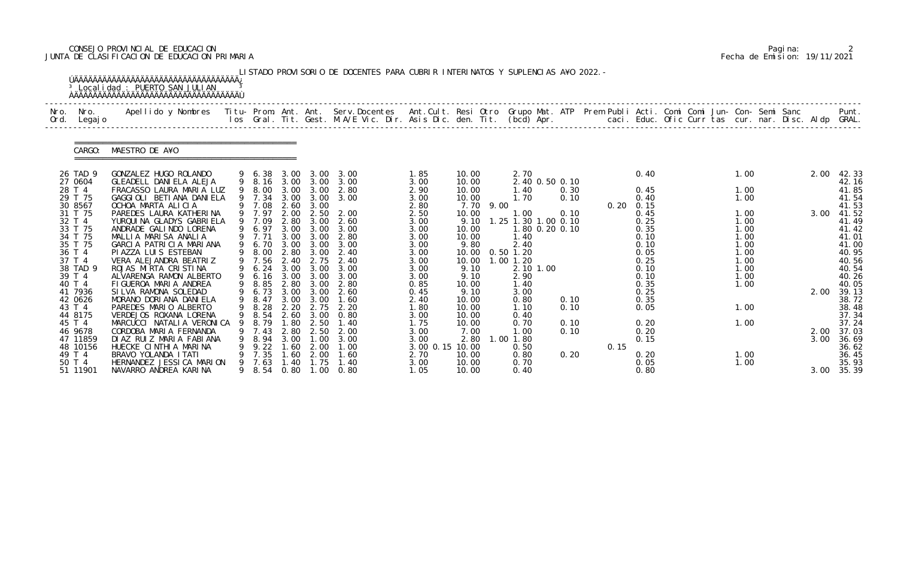# CONSEJO PROVINCIAL DE EDUCACION Pagina: 2 JUNTA DE CLASIFICACION DE EDUCACION PRIMARIA Fecha de Emision: 19/11/2021

|              |                                                                                                                   | <sup>3</sup> Localidad : PUERTO SAN JULIAN                                                                                                                                                                                                                                            |             |                                                                                                |                                                      |                                                                                                          | LISTADO PROVISORIO DE DOCENTES PARA CUBRIR INTERINATOS Y SUPLENCIAS A¥O 2022. - |                                                                                      |                                                                                            |      |                                                                                                                            |                      |      |                                                                                                   |                                                                              |  |                      |                                                                                                 |
|--------------|-------------------------------------------------------------------------------------------------------------------|---------------------------------------------------------------------------------------------------------------------------------------------------------------------------------------------------------------------------------------------------------------------------------------|-------------|------------------------------------------------------------------------------------------------|------------------------------------------------------|----------------------------------------------------------------------------------------------------------|---------------------------------------------------------------------------------|--------------------------------------------------------------------------------------|--------------------------------------------------------------------------------------------|------|----------------------------------------------------------------------------------------------------------------------------|----------------------|------|---------------------------------------------------------------------------------------------------|------------------------------------------------------------------------------|--|----------------------|-------------------------------------------------------------------------------------------------|
| Nro.<br>Ord. | Nro.<br>Legaj o                                                                                                   | .Apellido y Nombres  Titu- Prom. Ant. Ant.  Serv.Docentes  Ant.Cult. Resi Otro  Grupo Mat. ATP  Prem Publi Acti. Comi Comi Jun- Con- Semi Sanc              Punt<br>Ios Gral. Tit. Gest. M.A/E Vic. Dir. Asis Dic. den. Tit. (bcd                                                     |             |                                                                                                |                                                      |                                                                                                          |                                                                                 |                                                                                      |                                                                                            |      |                                                                                                                            |                      |      |                                                                                                   |                                                                              |  |                      |                                                                                                 |
|              | CARGO:                                                                                                            | MAESTRO DE A¥O                                                                                                                                                                                                                                                                        |             |                                                                                                |                                                      |                                                                                                          |                                                                                 |                                                                                      |                                                                                            |      |                                                                                                                            |                      |      |                                                                                                   |                                                                              |  |                      |                                                                                                 |
|              | 26 TAD 9<br>27 0604<br>28 T 4<br>29 T 75                                                                          | GONZALEZ HUGO ROLANDO<br>GLEADELL DANIELA ALEJA<br>FRACASSO LAURA MARIA LUZ<br>GAGGIOLI BETIANA DANIELA                                                                                                                                                                               |             | 9 6.38<br>9 8.16 3.00 3.00<br>9 8.00<br>9 7.34                                                 | 3.00<br>3.00                                         | 3.00 3.00<br>3.00<br>3.00                                                                                | 3.00<br>3.00<br>2.80<br>3.00                                                    | 1.85<br>3.00<br>2.90<br>3.00                                                         | 10.00<br>10.00<br>10.00<br>10.00                                                           |      | 2.70<br>2.40 0.50 0.10<br>1.40<br>1.70                                                                                     | 0.30<br>0.10         |      | 0.40<br>0.45<br>0.40                                                                              | 1.00<br>1.00<br>1.00                                                         |  | 2.00                 | 42.33<br>42.16<br>41.85<br>41.54                                                                |
|              | 30 8567<br>31 T 75<br>32 T 4<br>33 T 75<br>34 T 75<br>35 T 75<br>36 T 4<br>37 T 4<br>38 TAD 9<br>39 T 4<br>40 T 4 | OCHOA MARTA ALICIA<br>PAREDES LAURA KATHERINA<br>YURQUINA GLADYS GABRIELA<br>ANDRADE GALINDO LORENA<br>MALLIA MARISA ANALIA<br>GARCIA PATRICIA MARIANA<br>PI AZZA LUI S ESTEBAN<br>VERA ALEJANDRA BEATRIZ<br>ROJAS MIRTA CRISTINA<br>ALVARENGA RAMON ALBERTO<br>FIGUEROA MARIA ANDREA | 9<br>9<br>9 | 9 7.08<br>9 7.97<br>9 7.09<br>6.97<br>9 7.71<br>6.70<br>8.00<br>9 7.56<br>6.24<br>6.16<br>8.85 | 2.00<br>2.80<br>3.00<br>3.00<br>2.40<br>3.00<br>2.80 | 2.60 3.00<br>2.50<br>3.00<br>3.00 3.00<br>3.00<br>3.00<br>2.80 3.00<br>2.75<br>3.00<br>3.00 3.00<br>3.00 | 2.00<br>2.60<br>3.00<br>2.80<br>3.00<br>2.40<br>2.40<br>3.00<br>3.00<br>2.80    | 2.80<br>2.50<br>3.00<br>3.00<br>3.00<br>3.00<br>3.00<br>3.00<br>3.00<br>3.00<br>0.85 | 7.70<br>10.00<br>9.10<br>10.00<br>10.00<br>9.80<br>10.00<br>10.00<br>9.10<br>9.10<br>10.00 | 9.00 | 1.00<br>1.25 1.30 1.00 0.10<br>1.80 0.20 0.10<br>1.40<br>2.40<br>$0.50$ 1.20<br>$1.00$ $1.20$<br>2.10 1.00<br>2.90<br>1.40 | 0.10                 |      | $0.20 \quad 0.15$<br>0.45<br>0.25<br>0.35<br>0.10<br>0.10<br>0.05<br>0.25<br>0.10<br>0.10<br>0.35 | 1.00<br>1.00<br>1.00<br>1.00<br>1.00<br>1.00<br>1.00<br>1.00<br>1.00<br>1.00 |  | 3.00                 | 41.53<br>41.52<br>41.49<br>41.42<br>41.01<br>41.00<br>40.95<br>40.56<br>40.54<br>40.26<br>40.05 |
|              | 41 7936<br>42 0626<br>43 T 4<br>44 8175                                                                           | SILVA RAMONA SOLEDAD<br>MORANO DORIANA DANIELA<br>PAREDES MARIO ALBERTO<br>VERDEJOS ROXANA LORENA                                                                                                                                                                                     | 9           | 6.73<br>9 8.47<br>9 8.28<br>9 8.54                                                             | 3.00<br>2.20                                         | 3.00<br>3.00 3.00<br>2.75<br>2.60 3.00                                                                   | 2.60<br>1.60<br>2.20<br>0.80                                                    | 0.45<br>2.40<br>1.80<br>3.00                                                         | 9.10<br>10.00<br>10.00<br>10.00                                                            |      | 3.00<br>0.80<br>1.10<br>0.40                                                                                               | 0.10<br>0.10         |      | 0.25<br>0.35<br>0.05                                                                              | 1.00                                                                         |  | 2.00                 | 39.13<br>38.72<br>38.48<br>37.34                                                                |
|              | 45 T 4<br>46 9678<br>47 11859<br>48 10156<br>49 T 4<br>50 T 4<br>51 11901                                         | MARCUCCI NATALIA VERONICA<br>CORDOBA MARIA FERNANDA<br>DIAZ RUIZ MARIA FABIANA<br>HUECKE CINTHIA MARINA<br>BRAVO YOLANDA I TATI<br>HERNANDEZ JESSI CA MARION<br>NAVARRO ANDREA KARINA                                                                                                 |             | 8.79<br>7.43<br>8.94<br>9.22<br>7.35<br>7.63<br>9 8.54                                         | . 80<br>2.80<br>3.00<br>1.60<br>. 60<br>. 40<br>0.80 | 2.50<br>2.50<br>$\overline{\phantom{0}}$ . 00<br>2.00<br>2.00<br>1.75<br>1.00                            | 1. 40<br>2.00<br>3.00<br>1.00<br>1.60<br>1.40<br>0.80                           | 1.75<br>3.00<br>3.00<br>3.00 0.15 10.00<br>2.70<br>3.00<br>1.05                      | 10.00<br>7.00<br>2.80<br>10.00<br>10.00<br>10.00                                           |      | 0.70<br>1.00<br>1.00 1.80<br>0.50<br>0.80<br>0.70<br>0.40                                                                  | 0.10<br>0.10<br>0.20 | 0.15 | 0.20<br>0.20<br>0.15<br>0.20<br>0.05<br>0.80                                                      | 1.00<br>1.00<br>1.00                                                         |  | 2.00<br>3.00<br>3.00 | 37.24<br>37.03<br>36.69<br>36.62<br>36.45<br>35.93<br>35.39                                     |

|  | Pagi na: |                              |
|--|----------|------------------------------|
|  |          | Fecha de Emision: 19/11/2021 |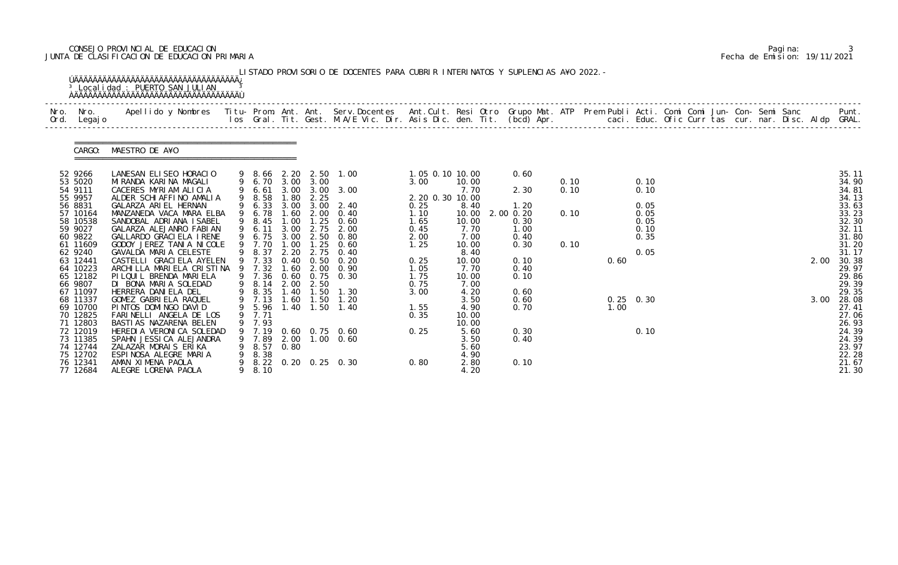# CONSEJO PROVINCIAL DE EDUCACION Pagina: 3 JUNTA DE CLASIFICACION DE EDUCACION PRIMARIA Fecha de Emision: 19/11/2021

| Nro.<br>Ord. | Nro.<br>Legaj o      | Apellido y Nombres - Titu- Prom. Ant. Ant. Serv.Docentes - Ant.Cult. Resi Otro Grupo Mat. ATP Prem Publi Acti. Comi Comi Jun- Con- Semi Sanc - - - Punt.<br>Ios Gral. Tit. Gest. M.A/E Vic. Dir. Asis Dic. den. Tit. (bcd) Apr. - |   |              |             |               |                       |                    |               |                       |      |             |              |  |  |      |                |
|--------------|----------------------|-----------------------------------------------------------------------------------------------------------------------------------------------------------------------------------------------------------------------------------|---|--------------|-------------|---------------|-----------------------|--------------------|---------------|-----------------------|------|-------------|--------------|--|--|------|----------------|
|              | CARGO:               | MAESTRO DE A¥O                                                                                                                                                                                                                    |   |              |             |               |                       |                    |               |                       |      |             |              |  |  |      |                |
|              | 52 9266              | LANESAN ELISEO HORACIO                                                                                                                                                                                                            |   |              |             |               | 9 8.66 2.20 2.50 1.00 | 1.05 0.10 10.00    |               | 0.60                  |      |             |              |  |  |      | 35.11          |
|              | 53 5020              | MIRANDA KARINA MAGALI                                                                                                                                                                                                             |   | 9 6.70       |             | 3.00 3.00     |                       | 3.00               | 10.00         |                       | 0.10 |             | 0.10         |  |  |      | 34.90          |
|              | 54 9111              | CACERES MYRIAM ALICIA                                                                                                                                                                                                             |   | 6.61         | 3.00        | 3.00          | 3.00                  |                    | 7.70          | 2.30                  | 0.10 |             | 0.10         |  |  |      | 34.81          |
|              | 55 9957              | ALDER SCHIAFFINO AMALIA                                                                                                                                                                                                           |   | 8.58         | . 80        | 2.25          |                       | 2. 20 0. 30 10. 00 |               |                       |      |             |              |  |  |      | 34.13          |
|              | 56 8831<br>57 10164  | GALARZA ARIEL HERNAN<br>MANZANEDA VACA MARA ELBA                                                                                                                                                                                  |   | 6.33<br>6.78 | 3.00<br>.60 | 3.00<br>2.00  | 2.40<br>0.40          | 0.25<br>1.10       | 8.40<br>10.00 | 1.20<br>$2.00$ $0.20$ | 0.10 |             | 0.05<br>0.05 |  |  |      | 33.63<br>33.23 |
|              | 58 10538             | SANDOBAL ADRIANA ISABEL                                                                                                                                                                                                           |   | 8.45         | 1.00        | 1.25          | 0.60                  | 1.65               | 10.00         | 0.30                  |      |             | 0.05         |  |  |      | 32.30          |
|              | 59 9027              | GALARZA ALEJANRO FABIAN                                                                                                                                                                                                           |   | 9 6.11       | 3.00        | 2.75          | 2.00                  | 0.45               | 7.70          | 1.00                  |      |             | 0.10         |  |  |      | 32.11          |
|              | 60 9822              | GALLARDO GRACIELA IRENE                                                                                                                                                                                                           |   | 6.75         | 3.00        | 2.50          | 0.80                  | 2.00               | 7.00          | 0.40                  |      |             | 0.35         |  |  |      | 31.80          |
|              | 61 11609             | GODOY JEREZ TANIA NICOLE                                                                                                                                                                                                          |   | 7.70         | .00         | 1.25          | 0.60                  | 1.25               | 10.00         | 0.30                  | 0.10 |             |              |  |  |      | 31.20          |
|              | 62 9240              | GAVALDA MARIA CELESTE                                                                                                                                                                                                             |   | 8.37         | 2.20        | 2.75          | 0.40                  |                    | 8.40          |                       |      |             | 0.05         |  |  |      | 31.17          |
|              | 63 12441             | CASTELLI GRACI ELA AYELEN                                                                                                                                                                                                         |   | 9 7.33       | 0.40        | 0.50          | 0.20                  | 0.25               | 10.00         | 0.10                  |      | 0.60        |              |  |  | 2.00 | 30.38          |
|              | 64 10223             | ARCHILLA MARIELA CRISTINA                                                                                                                                                                                                         |   | 7.32         | .60         | 2.00          | 0.90                  | 1.05               | 7.70          | 0.40                  |      |             |              |  |  |      | 29.97          |
|              | 65 12182             | PI LQUI L BRENDA MARI ELA                                                                                                                                                                                                         |   | 9 7.36       | 0.60        | 0.75          | 0.30                  | 1.75               | 10.00         | 0.10                  |      |             |              |  |  |      | 29.86          |
|              | 66 9807              | DI BONA MARIA SOLEDAD                                                                                                                                                                                                             | 9 | 8.14         | 2.00        | 2.50          |                       | 0.75               | 7.00          |                       |      |             |              |  |  |      | 29.39          |
|              | 67 11097             | HERRERA DANIELA DEL                                                                                                                                                                                                               |   | 8.35         | 1.40        | 1.50          | 1.30                  | 3.00               | 4.20          | 0.60                  |      |             |              |  |  |      | 29.35          |
|              | 68 11337             | GOMEZ GABRIELA RAQUEL                                                                                                                                                                                                             |   | 9 7.13       | 1.60        | 1.50          | 1.20                  |                    | 3.50          | 0.60                  |      | $0.25$ 0.30 |              |  |  | 3.00 | 28.08          |
|              | 69 10700             | PINTOS DOMINGO DAVID                                                                                                                                                                                                              |   | 9 5.96       |             | $1.40$ $1.50$ | 1.40                  | 1.55               | 4.90          | 0.70                  |      | 1.00        |              |  |  |      | 27.41          |
|              | 70 12825             | FARINELLI ANGELA DE LOS                                                                                                                                                                                                           |   | 9 7.71       |             |               |                       | 0.35               | 10.00         |                       |      |             |              |  |  |      | 27.06          |
|              | 71 12803<br>72 12019 | BASTI AS NAZARENA BELEN<br>HEREDI A VERONI CA SOLEDAD                                                                                                                                                                             | 9 | 7.93         |             |               | 9 7.19 0.60 0.75 0.60 | 0.25               | 10.00<br>5.60 | 0.30                  |      |             | 0.10         |  |  |      | 26.93<br>24.39 |
|              | 73 11385             | SPAHN JESSICA ALEJANDRA                                                                                                                                                                                                           |   |              |             |               | 9 7.89 2.00 1.00 0.60 |                    | 3.50          | 0.40                  |      |             |              |  |  |      | 24.39          |
|              | 74 12744             | ZALAZAR MORAIS ERIKA                                                                                                                                                                                                              |   | 9 8.57       | 0.80        |               |                       |                    | 5.60          |                       |      |             |              |  |  |      | 23.97          |
|              | 75 12702             | ESPINOSA ALEGRE MARIA                                                                                                                                                                                                             | 9 | 8.38         |             |               |                       |                    | 4.90          |                       |      |             |              |  |  |      | 22.28          |
|              | 76 12341             | AMAN XIMENA PAOLA                                                                                                                                                                                                                 |   |              |             |               | 8.22 0.20 0.25 0.30   | 0.80               | 2.80          | 0.10                  |      |             |              |  |  |      | 21.67          |
|              | 77 12684             | ALEGRE LORENA PAOLA                                                                                                                                                                                                               |   | 9 8.10       |             |               |                       |                    | 4.20          |                       |      |             |              |  |  |      | 21.30          |

|  | Pagi na: |                              |
|--|----------|------------------------------|
|  |          | Fecha de Emision: 19/11/2021 |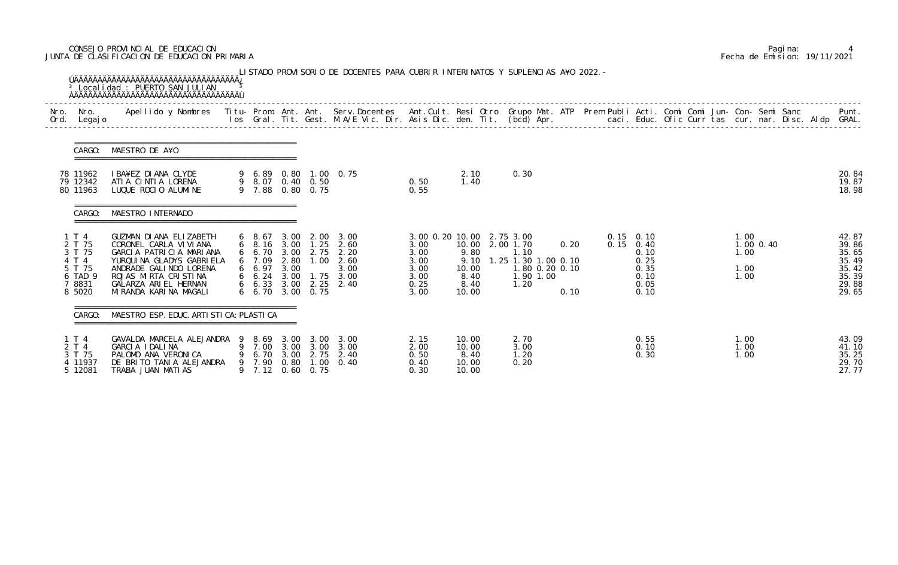# CONSEJO PROVINCIAL DE EDUCACION Pagina: 4 JUNTA DE CLASIFICACION DE EDUCACION PRIMARIA Fecha de Emision: 19/11/2021

| Nro.<br>Ord.   | Nro.<br>Legaj o                                                             | Apellido y Nombres - Titu- Prom. Ant. Ant. Serv.Docentes - Ant.Cult. Resi Otro Grupo Mat. ATP Prem Publi Acti. Comi Comi Jun- Con- Semi Sanc - - - Punt.<br>Ios Gral. Tit. Gest. M.A/E Vic. Dir. Asis Dic. den. Tit. (bcd) Apr. - |        |                                           |                      |                                             |                                                                                                                               |                                                                         |                                                |                                                                                                    |              |  |                                                                            |  |                              |               |  |                                                                      |
|----------------|-----------------------------------------------------------------------------|-----------------------------------------------------------------------------------------------------------------------------------------------------------------------------------------------------------------------------------|--------|-------------------------------------------|----------------------|---------------------------------------------|-------------------------------------------------------------------------------------------------------------------------------|-------------------------------------------------------------------------|------------------------------------------------|----------------------------------------------------------------------------------------------------|--------------|--|----------------------------------------------------------------------------|--|------------------------------|---------------|--|----------------------------------------------------------------------|
|                | CARGO:                                                                      | MAESTRO DE A¥O                                                                                                                                                                                                                    |        |                                           |                      |                                             |                                                                                                                               |                                                                         |                                                |                                                                                                    |              |  |                                                                            |  |                              |               |  |                                                                      |
|                | 78 11962<br>79 12342<br>80 11963                                            | I BA¥EZ DIANA CLYDE<br>ATIA CINTIA LORENA<br>LUQUE ROCIO ALUMINE                                                                                                                                                                  |        | 9 7.88                                    |                      | 9 8.07 0.40 0.50<br>$0.80 \quad 0.75$       | 9 6.89 0.80 1.00 0.75                                                                                                         | 0.50<br>0.55                                                            | 2.10<br>1.40                                   | 0.30                                                                                               |              |  |                                                                            |  |                              |               |  | 20.84<br>19.87<br>18.98                                              |
|                | CARGO:                                                                      | MAESTRO INTERNADO                                                                                                                                                                                                                 |        |                                           |                      |                                             |                                                                                                                               |                                                                         |                                                |                                                                                                    |              |  |                                                                            |  |                              |               |  |                                                                      |
|                | 1 T 4<br>2 T 75<br>3 T 75<br>4 T 4<br>5 T 75<br>6 TAD 9<br>7 8831<br>8 5020 | GUZMAN DIANA ELIZABETH<br>CORONEL CARLA VI VI ANA<br>GARCIA PATRICIA MARIANA<br>YURQUINA GLADYS GABRIELA<br>ANDRADE GALINDO LORENA<br>ROJAS MIRTA CRISTINA<br>GALARZA ARIEL HERNAN<br>MI RANDA KARI NA MAGALI                     |        | $6\quad 8.67$<br>6 7.09<br>66.97          | 3.00<br>2.80<br>3.00 | 1.00<br>$6\quad 6.70\quad 3.00\quad 0.75$   | 2.00 3.00<br>6 8.16 3.00 1.25 2.60<br>6 6.70 3.00 2.75 2.20<br>2.60<br>3.00<br>6 6.24 3.00 1.75 3.00<br>6 6.33 3.00 2.25 2.40 | 3.00 0.20 10.00<br>3.00<br>3.00<br>3.00<br>3.00<br>3.00<br>0.25<br>3.00 | 9.80<br>9.10<br>10.00<br>8.40<br>8.40<br>10.00 | 2.75 3.00<br>10.00 2.00 1.70<br>1.10<br>1.25 1.30 1.00 0.10<br>1.80 0.20 0.10<br>1.90 1.00<br>1.20 | 0.20<br>0.10 |  | $0.15$ 0.10<br>$0.15$ 0.40<br>0.10<br>0.25<br>0.35<br>0.10<br>0.05<br>0.10 |  | 1.00<br>1.00<br>1.00<br>1.00 | $1.00$ $0.40$ |  | 42.87<br>39.86<br>35.65<br>35.49<br>35.42<br>35.39<br>29.88<br>29.65 |
|                | CARGO:                                                                      | MAESTRO ESP. EDUC. ARTI STI CA: PLASTI CA                                                                                                                                                                                         |        |                                           |                      |                                             |                                                                                                                               |                                                                         |                                                |                                                                                                    |              |  |                                                                            |  |                              |               |  |                                                                      |
| 1 T 4<br>2 T 4 | 3 T 75<br>4 11937<br>5 12081                                                | GAVALDA MARCELA ALEJANDRA 9<br>GARCIA IDALINA<br>PALOMO ANA VERONICA<br>DE BRITO TANIA ALEJANDRA<br>TRABA JUAN MATIAS                                                                                                             | 9<br>9 | 8.69 3.00<br>7.00<br>6.70<br>7.90<br>7.12 | 3.00<br>3.00<br>0.80 | 3.00<br>3.00<br>2.75<br>1.00<br>$0.60$ 0.75 | 3.00<br>3.00<br>2.40<br>0.40                                                                                                  | 2.15<br>2.00<br>0.50<br>0.40<br>0.30                                    | 10.00<br>10.00<br>8.40<br>10.00<br>10.00       | 2.70<br>3.00<br>1.20<br>0.20                                                                       |              |  | 0.55<br>0.10<br>0.30                                                       |  | 1.00<br>1.00<br>1.00         |               |  | 43.09<br>41.10<br>35.25<br>29.70<br>27.77                            |

|  | Pagi na: |                              |
|--|----------|------------------------------|
|  |          | Fecha de Emision: 19/11/2021 |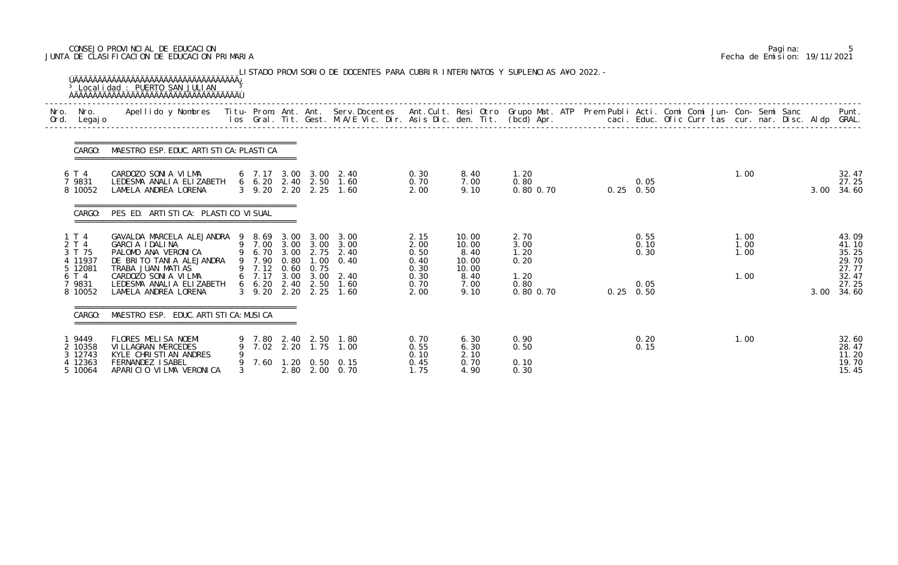# CONSEJO PROVINCIAL DE EDUCACION Pagina: 5 JUNTA DE CLASIFICACION DE EDUCACION PRIMARIA Fecha de Emision: 19/11/2021

| Nro.<br>Ord. | Nro.<br>Legaj o                       | Apellido y Nombres - Titu- Prom. Ant. Ant. Serv.Docentes - Ant.Cult. Resi Otro Grupo Mat. ATP Prem Publi Acti. Comi Comi Jun- Con- Semi Sanc - - - Punt.<br>Ios Gral. Tit. Gest. M.A/E Vic. Dir. Asis Dic. den. Tit. (bcd) Apr. - |             |                                        |      |                                  |                                                                                       |                              |                                 |                               |                           |                      |      |                                  |
|--------------|---------------------------------------|-----------------------------------------------------------------------------------------------------------------------------------------------------------------------------------------------------------------------------------|-------------|----------------------------------------|------|----------------------------------|---------------------------------------------------------------------------------------|------------------------------|---------------------------------|-------------------------------|---------------------------|----------------------|------|----------------------------------|
|              | CARGO:                                | MAESTRO ESP. EDUC. ARTI STI CA: PLASTI CA                                                                                                                                                                                         |             |                                        |      |                                  |                                                                                       |                              |                                 |                               |                           |                      |      |                                  |
|              | 6 T 4<br>7 9831<br>8 10052            | CARDOZO SONIA VILMA<br>LEDESMA ANALIA ELIZABETH<br>LAMELA ANDREA LORENA                                                                                                                                                           |             |                                        |      |                                  | $6$ 7.17 3.00 3.00 2.40<br>6 6.20 2.40 2.50 1.60<br>3 9.20 2.20 2.25 1.60             | 0.30<br>0.70<br>2.00         | 8.40<br>7.00<br>9.10            | 1.20<br>0.80<br>$0.80$ $0.70$ | 0.05<br>$0.25$ 0.50       | 1.00                 | 3.00 | 32.47<br>27.25<br>34.60          |
|              | CARGO:                                | PES ED. ARTISTICA: PLASTICO VISUAL                                                                                                                                                                                                |             |                                        |      |                                  |                                                                                       |                              |                                 |                               |                           |                      |      |                                  |
|              | 1 T 4<br>2 T 4<br>3 T 75<br>4 11937   | GAVALDA MARCELA ALEJANDRA 9 8.69 3.00<br>GARCIA IDALINA<br>PALOMO ANA VERONICA<br>DE BRITO TANIA ALEJANDRA                                                                                                                        |             | 9 7.90                                 | 0.80 |                                  | $3.00 \quad 3.00$<br>9 7.00 3.00 3.00 3.00<br>9 6.70 3.00 2.75 2.40<br>$1.00 \t 0.40$ | 2.15<br>2.00<br>0.50<br>0.40 | 10.00<br>10.00<br>8.40<br>10.00 | 2.70<br>3.00<br>1.20<br>0.20  | 0.55<br>0.10<br>0.30      | 1.00<br>1.00<br>1.00 |      | 43.09<br>41.10<br>35.25<br>29.70 |
|              | 5 12081<br>6 T 4<br>7 9831<br>8 10052 | TRABA JUAN MATIAS<br>CARDOZO SONIA VILMA<br>LEDESMA ANALIA ELIZABETH<br>LAMELA ANDREA LORENA                                                                                                                                      |             | 9 7.12 0.60<br>$6\quad 6.20\quad 2.40$ |      | 0.75<br>2.50<br>3 9.20 2.20 2.25 | 6 7.17 3.00 3.00 2.40<br>1.60<br>1.60                                                 | 0.30<br>0.30<br>0.70<br>2.00 | 10.00<br>8.40<br>7.00<br>9.10   | 1.20<br>0.80<br>$0.80$ $0.70$ | 0.05<br>$0.25 \quad 0.50$ | 1.00                 | 3.00 | 27.77<br>32.47<br>27.25<br>34.60 |
|              | CARGO:                                | MAESTRO ESP. EDUC. ARTI STI CA: MUSI CA                                                                                                                                                                                           |             |                                        |      |                                  |                                                                                       |                              |                                 |                               |                           |                      |      |                                  |
|              | 9449<br>2 10358<br>3 12743<br>12363   | FLORES MELISA NOEMI<br>VI LLAGRAN MERCEDES<br>KYLE CHRISTIAN ANDRES<br>FERNANDEZ I SABEL                                                                                                                                          | 9<br>9<br>9 | 7.02<br>7.60                           |      | 9 7.80 2.40 2.50<br>2.20 1.75    | 1.80<br>1.00<br>$1.20 \t 0.50 \t 0.15$                                                | 0.70<br>0.55<br>0.10<br>0.45 | 6.30<br>6.30<br>2.10<br>0.70    | 0.90<br>0.50<br>0.10          | 0.20<br>0.15              | 1.00                 |      | 32.60<br>28.47<br>11.20<br>19.70 |

|  | Pagi na: |                              |
|--|----------|------------------------------|
|  |          | Fecha de Emision: 19/11/2021 |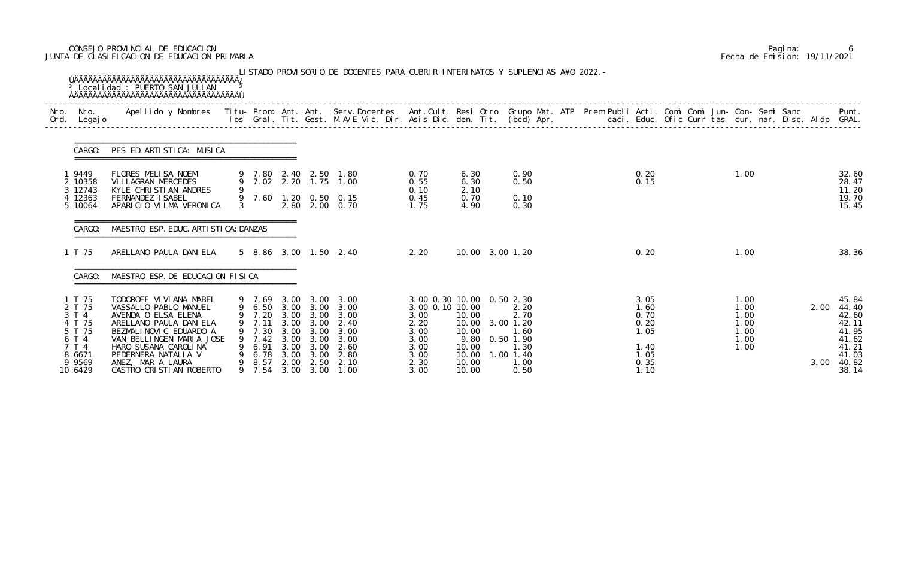# CONSEJO PROVINCIAL DE EDUCACION Pagina: 6 JUNTA DE CLASIFICACION DE EDUCACION PRIMARIA Fecha de Emision: 19/11/2021

| Nro.<br>Ord. | Nro.<br>Legaj o                                                                                   | Apellido y Nombres - Titu- Prom. Ant. Ant. Serv.Docentes - Ant.Cult. Resi Otro Grupo Mat. ATP Prem Publi Acti. Comi Comi Jun- Con- Semi Sanc - - - - Punt.<br>Ios Gral. Tit. Gest. M.A/E Vic. Dir. Asis Dic. den. Tit. (bcd) Apr.                       |        |                                                                                   |                                                      |                                                      |                                                                                                        |                                                                                                              |                                                                     |                                                                                       |  |                                                                      |  |                                                      |              |                                                                                        |
|--------------|---------------------------------------------------------------------------------------------------|---------------------------------------------------------------------------------------------------------------------------------------------------------------------------------------------------------------------------------------------------------|--------|-----------------------------------------------------------------------------------|------------------------------------------------------|------------------------------------------------------|--------------------------------------------------------------------------------------------------------|--------------------------------------------------------------------------------------------------------------|---------------------------------------------------------------------|---------------------------------------------------------------------------------------|--|----------------------------------------------------------------------|--|------------------------------------------------------|--------------|----------------------------------------------------------------------------------------|
|              | CARGO:                                                                                            | PES ED. ARTISTICA: MUSICA                                                                                                                                                                                                                               |        |                                                                                   |                                                      |                                                      |                                                                                                        |                                                                                                              |                                                                     |                                                                                       |  |                                                                      |  |                                                      |              |                                                                                        |
|              | 19449<br>2 10358<br>3 12743<br>4 12363<br>5 10064                                                 | FLORES MELISA NOEMI<br>VI LLAGRAN MERCEDES<br>KYLE CHRISTIAN ANDRES<br>FERNANDEZ ISABEL<br>APARICIO VILMA VERONICA                                                                                                                                      |        |                                                                                   |                                                      |                                                      | 9 7.80 2.40 2.50 1.80<br>9 7.02 2.20 1.75 1.00<br>9 7.60 1.20 0.50 0.15<br>2.80 2.00 0.70              | 0.70<br>0.55<br>0.10<br>0.45<br>1.75                                                                         | 6.30<br>6.30<br>2.10<br>0.70<br>4.90                                | 0.90<br>0.50<br>0.10<br>0.30                                                          |  | 0.20<br>0.15                                                         |  | 1.00                                                 |              | 32.60<br>28.47<br>11.20<br>19.70<br>15.45                                              |
|              | CARGO:                                                                                            | MAESTRO ESP. EDUC. ARTI STI CA: DANZAS                                                                                                                                                                                                                  |        |                                                                                   |                                                      |                                                      |                                                                                                        |                                                                                                              |                                                                     |                                                                                       |  |                                                                      |  |                                                      |              |                                                                                        |
|              | 1 T 75                                                                                            | ARELLANO PAULA DANIELA                                                                                                                                                                                                                                  |        |                                                                                   |                                                      |                                                      | 5 8.86 3.00 1.50 2.40                                                                                  | 2.20                                                                                                         | 10.00 3.00 1.20                                                     |                                                                                       |  | 0.20                                                                 |  | 1.00                                                 |              | 38.36                                                                                  |
|              | CARGO:                                                                                            | MAESTRO ESP. DE EDUCACION FISICA                                                                                                                                                                                                                        |        |                                                                                   |                                                      |                                                      |                                                                                                        |                                                                                                              |                                                                     |                                                                                       |  |                                                                      |  |                                                      |              |                                                                                        |
|              | 1 T 75<br>2 T 75<br>3 T 4<br>4 T 75<br>5 T 75<br>6 T 4<br>7 T 4<br>8 6671<br>9 9 5 6 9<br>10 6429 | TODOROFF VI VI ANA MABEL<br>VASSALLO PABLO MANUEL<br>AVENDA O ELSA ELENA<br>ARELLANO PAULA DANIELA<br>BEZMALINOVIC EDUARDO A<br>VAN BELLINGEN MARIA JOSE<br>HARO SUSANA CAROLINA<br>PEDERNERA NATALIA V<br>ANEZ, MAR A LAURA<br>CASTRO CRISTIAN ROBERTO | 9<br>9 | 9 7.20 3.00 3.00 3.00<br>7.11<br>7.30<br>9 7.42<br>6.91<br>6.78<br>8.57<br>9 7.54 | 3.00<br>3.00<br>3.00<br>3.00<br>3.00<br>2.00<br>3.00 | 3.00<br>3.00<br>3.00<br>3.00<br>3.00<br>2.50<br>3.00 | 9 7.69 3.00 3.00 3.00<br>9 6.50 3.00 3.00 3.00<br>2.40<br>3.00<br>3.00<br>2.60<br>2.80<br>2.10<br>1.00 | 3.00 0.30 10.00 0.50 2.30<br>3.00 0.10 10.00<br>3.00<br>2.20<br>3.00<br>3.00<br>3.00<br>3.00<br>2.30<br>3.00 | 10.00<br>10.00<br>10.00<br>9.80<br>10.00<br>10.00<br>10.00<br>10.00 | 2.20<br>2.70<br>3.00 1.20<br>1.60<br>$0.50$ 1.90<br>1.30<br>1.00 1.40<br>1.00<br>0.50 |  | 3.05<br>1.60<br>0.70<br>0.20<br>1.05<br>1.40<br>1.05<br>0.35<br>1.10 |  | 1.00<br>1.00<br>1.00<br>1.00<br>1.00<br>1.00<br>1.00 | 2.00<br>3.00 | 45.84<br>44.40<br>42.60<br>42.11<br>41.95<br>41.62<br>41.21<br>41.03<br>40.82<br>38.14 |

|  | Pagi na: |                              |
|--|----------|------------------------------|
|  |          | Fecha de Emision: 19/11/2021 |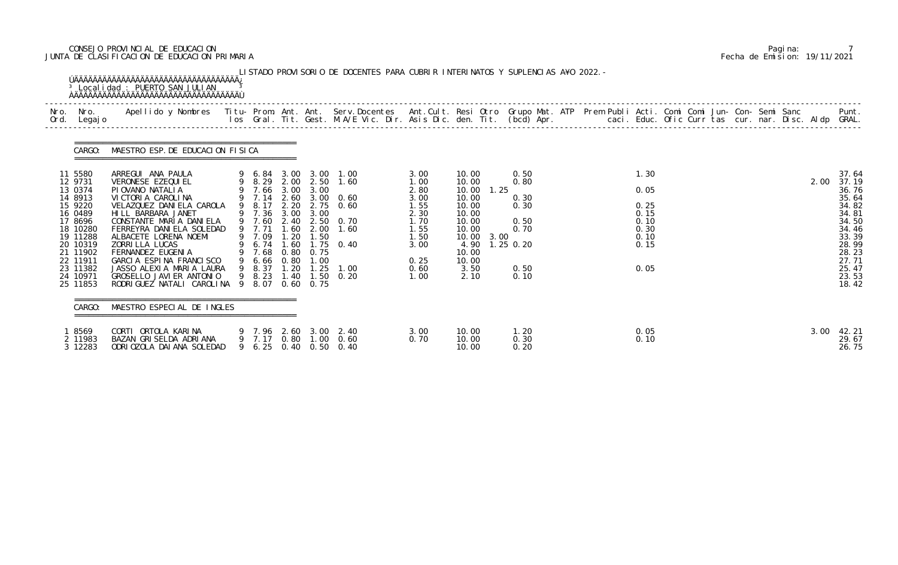# CONSEJO PROVINCIAL DE EDUCACION Pagina: 7 JUNTA DE CLASIFICACION DE EDUCACION PRIMARIA Fecha de Emision: 19/11/2021

| Ord. | Nro. Nro.<br>Legaj o                                                                                                                                                      | Apellido y Nombres Iitu-Prom. Ant. Ant. Serv.Docentes Ant.Cult. Resi Otro Grupo Mat. ATP Prem Publi Acti. Comi Comi Jun-Con-Semi Sanc Punt.<br>Ios Gral. Tit. Gest. M.A/E Vic. Dir. Asis Dic. den. Tit. (bcd) Apr.                                                                                                                                                                |                                                                                                                                     |                                                              |                                                                   |                                                                                                                                                                   |                                                                                                      |                                                                                                                              |                     |                                                              |  |                                                                      |  |  |  |      |                                                                                                                                     |
|------|---------------------------------------------------------------------------------------------------------------------------------------------------------------------------|-----------------------------------------------------------------------------------------------------------------------------------------------------------------------------------------------------------------------------------------------------------------------------------------------------------------------------------------------------------------------------------|-------------------------------------------------------------------------------------------------------------------------------------|--------------------------------------------------------------|-------------------------------------------------------------------|-------------------------------------------------------------------------------------------------------------------------------------------------------------------|------------------------------------------------------------------------------------------------------|------------------------------------------------------------------------------------------------------------------------------|---------------------|--------------------------------------------------------------|--|----------------------------------------------------------------------|--|--|--|------|-------------------------------------------------------------------------------------------------------------------------------------|
|      | CARGO:                                                                                                                                                                    | MAESTRO ESP. DE EDUCACION FISICA                                                                                                                                                                                                                                                                                                                                                  |                                                                                                                                     |                                                              |                                                                   |                                                                                                                                                                   |                                                                                                      |                                                                                                                              |                     |                                                              |  |                                                                      |  |  |  |      |                                                                                                                                     |
|      | 11 5580<br>12 9731<br>13 0374<br>14 8913<br>15 9220<br>16 0489<br>17 8696<br>18 10280<br>19 11288<br>20 10319<br>21 11902<br>22 11911<br>23 11382<br>24 10971<br>25 11853 | ARREGUI ANA PAULA<br>VERONESE EZEQUI EL<br>PIOVANO NATALIA<br>VICTORIA CAROLINA<br>VELAZQUEZ DANIELA CAROLA<br>HILL BARBARA JANET<br>CONSTANTE MARIA DANIELA<br>FERREYRA DANI ELA SOLEDAD<br>ALBACETE LORENA NOEMI<br>ZORRI LLA LUCAS<br>FERNANDEZ EUGENIA<br>GARCIA ESPINA FRANCISCO<br>JASSO ALEXIA MARIA LAURA<br>GROSELLO JAVI ER ANTONIO<br>RODRIGUEZ NATALI CAROLINA 9 8.07 | 9 7.66 3.00<br>9 7.14<br>9 8.17<br>9 7.36 3.00<br>9 7.60<br>9 7.71<br>9 7.09<br>$6.74$ 1.60<br>9 7.68<br>9 6.66<br>9 8.37<br>9 8.23 | 2.60<br>2.20<br>1.60<br>1.20<br>0.80<br>0.80<br>1.20<br>1.40 | 3.00<br>3.00<br>2.00<br>1.50<br>0.75<br>1.00<br>$0.60 \quad 0.75$ | 9 6.84 3.00 3.00 1.00<br>9 8.29 2.00 2.50 1.60<br>$3.00 \quad 0.60$<br>$2.75$ 0.60<br>2.40 2.50 0.70<br>1.60<br>$1.75 \t 0.40$<br>$1.25$ $1.00$<br>$1.50 \t 0.20$ | 3.00<br>1.00<br>2.80<br>3.00<br>1.55<br>2.30<br>1.70<br>1.55<br>1.50<br>3.00<br>0.25<br>0.60<br>1.00 | 10.00<br>10.00<br>10.00<br>10.00<br>10.00<br>10.00<br>10.00<br>10.00<br>10.00 3.00<br>4.90<br>10.00<br>10.00<br>3.50<br>2.10 | 1.25<br>$1.25$ 0.20 | 0.50<br>0.80<br>0.30<br>0.30<br>0.50<br>0.70<br>0.50<br>0.10 |  | 1.30<br>0.05<br>0.25<br>0.15<br>0.10<br>0.30<br>0.10<br>0.15<br>0.05 |  |  |  | 2.00 | 37.64<br>37.19<br>36.76<br>35.64<br>34.82<br>34.81<br>34.50<br>34.46<br>33.39<br>28.99<br>28.23<br>27.71<br>25.47<br>23.53<br>18.42 |
|      | CARGO:                                                                                                                                                                    | MAESTRO ESPECIAL DE INGLES                                                                                                                                                                                                                                                                                                                                                        |                                                                                                                                     |                                                              |                                                                   |                                                                                                                                                                   |                                                                                                      |                                                                                                                              |                     |                                                              |  |                                                                      |  |  |  |      |                                                                                                                                     |
|      | 1 8569<br>2 11983<br>3 12283                                                                                                                                              | CORTI ORTOLA KARINA<br>BAZAN GRISELDA ADRIANA<br>ODRI OZOLA DAI ANA SOLEDAD                                                                                                                                                                                                                                                                                                       |                                                                                                                                     |                                                              |                                                                   | 9 7.96 2.60 3.00 2.40<br>9 7.17 0.80 1.00 0.60<br>9 6.25 0.40 0.50 0.40                                                                                           | 3.00<br>0.70                                                                                         | 10.00<br>10.00<br>10.00                                                                                                      |                     | 1. 20<br>0.30<br>0.20                                        |  | 0.05<br>0.10                                                         |  |  |  | 3.00 | 42.21<br>29.67<br>26.75                                                                                                             |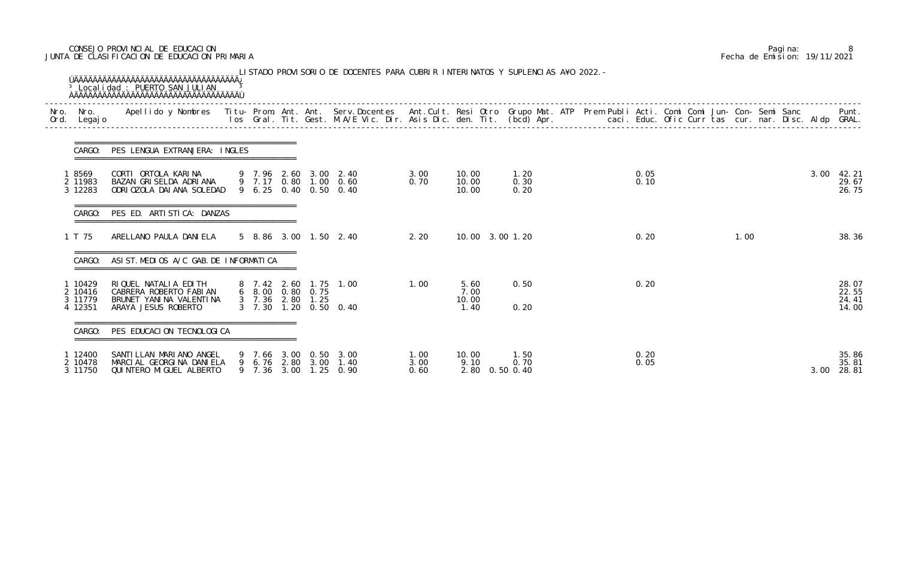# CONSEJO PROVINCIAL DE EDUCACION Pagina: 8 JUNTA DE CLASIFICACION DE EDUCACION PRIMARIA Fecha de Emision: 19/11/2021

| Nro.<br>Ord. | Nro.<br>Legaj o                          | Apellido y Nombres - Titu- Prom. Ant. Ant. Serv.Docentes - Ant.Cult. Resi Otro Grupo Mat. ATP Prem Publi Acti. Comi Comi Jun- Con- Semi Sanc - - - - Punt.<br>Ios Gral. Tit. Gest. M.A/E Vic. Dir. Asis Dic. den. Tit. (bcd) Apr. |                               |                                      |                                                                         |                      |                                 |                      |  |              |  |      |      |                                  |
|--------------|------------------------------------------|-----------------------------------------------------------------------------------------------------------------------------------------------------------------------------------------------------------------------------------|-------------------------------|--------------------------------------|-------------------------------------------------------------------------|----------------------|---------------------------------|----------------------|--|--------------|--|------|------|----------------------------------|
|              | CARGO:                                   | PES LENGUA EXTRANJERA: INGLES                                                                                                                                                                                                     |                               |                                      |                                                                         |                      |                                 |                      |  |              |  |      |      |                                  |
|              | 8569<br>2 11983<br>3 12283               | CORTI ORTOLA KARINA<br>BAZAN GRISELDA ADRIANA<br>ODRI OZOLA DAI ANA SOLEDAD                                                                                                                                                       |                               |                                      | 9 7.96 2.60 3.00 2.40<br>9 7.17 0.80 1.00 0.60<br>9 6.25 0.40 0.50 0.40 | 3.00<br>0.70         | 10.00<br>10.00<br>10.00         | 1.20<br>0.30<br>0.20 |  | 0.05<br>0.10 |  |      | 3.00 | 42. 21<br>29.67<br>26.75         |
|              | CARGO:                                   | PES ED. ARTISTICA: DANZAS                                                                                                                                                                                                         |                               |                                      |                                                                         |                      |                                 |                      |  |              |  |      |      |                                  |
|              | 1 T 75                                   | ARELLANO PAULA DANIELA                                                                                                                                                                                                            |                               |                                      | 5 8.86 3.00 1.50 2.40                                                   | 2.20                 | 10.00 3.00 1.20                 |                      |  | 0.20         |  | 1.00 |      | 38.36                            |
|              | CARGO:                                   | ASI ST. MEDIOS A/C GAB. DE INFORMATICA                                                                                                                                                                                            |                               |                                      |                                                                         |                      |                                 |                      |  |              |  |      |      |                                  |
|              | 1 10429<br>2 10416<br>3 11779<br>4 12351 | RIQUEL NATALIA EDITH<br>CABRERA ROBERTO FABIAN<br>BRUNET YANINA VALENTINA<br>ARAYA JESUS ROBERTO                                                                                                                                  | 8 7.42 2.60<br>$3 \quad 7.30$ | 6 8.00 0.80 0.75<br>3 7.36 2.80 1.25 | 1.75 1.00<br>1.20 0.50 0.40                                             | 1.00                 | 5.60<br>7.00<br>10.00<br>1.40   | 0.50<br>0.20         |  | 0.20         |  |      |      | 28.07<br>22.55<br>24.41<br>14.00 |
|              | CARGO:                                   | PES EDUCACION TECNOLOGICA                                                                                                                                                                                                         |                               |                                      |                                                                         |                      |                                 |                      |  |              |  |      |      |                                  |
|              | 12400<br>2 10478<br>3 11750              | SANTILLAN MARIANO ANGEL<br>MARCIAL GEORGINA DANIELA<br>QUI NTERO MI GUEL ALBERTO                                                                                                                                                  |                               |                                      | 9 7.66 3.00 0.50 3.00<br>9 6.76 2.80 3.00 1.40<br>9 7.36 3.00 1.25 0.90 | 1.00<br>3.00<br>0.60 | 10.00<br>9.10<br>2.80 0.50 0.40 | 1.50<br>0.70         |  | 0.20<br>0.05 |  |      | 3.00 | 35.86<br>35.81<br>28.81          |

|  | Pagi na: |                              |
|--|----------|------------------------------|
|  |          | Fecha de Emision: 19/11/2021 |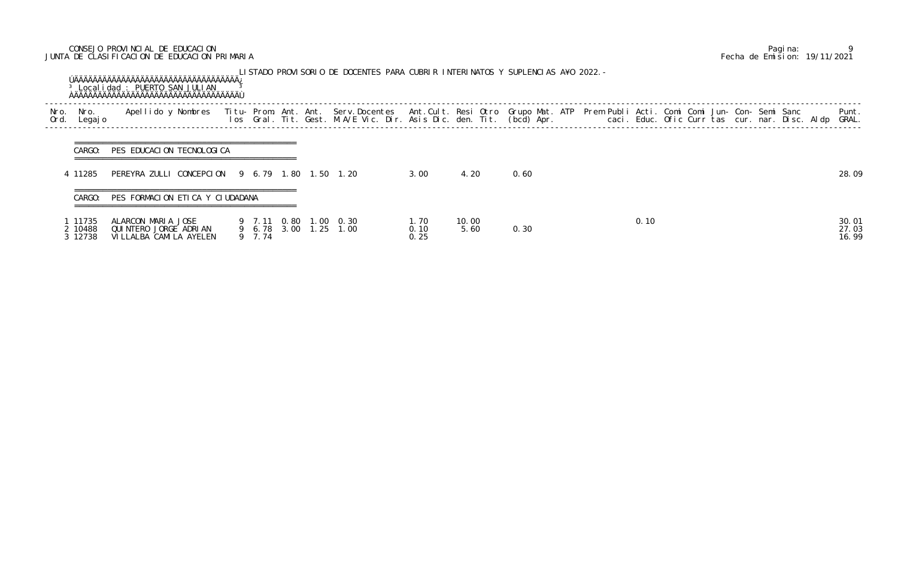# CONSEJO PROVINCIAL DE EDUCACION Pagina: 9 JUNTA DE CLASIFICACION DE EDUCACION PRIMARIA Fecha de Emision: 19/11/2021

|              |                             | <sup>3</sup> Localidad : PUERTO SAN JULIAN                              |  |                       |  | LISTADO PROVISORIO DE DOCENTES PARA CUBRIR INTERINATOS Y SUPLENCIAS A¥O 2022.-                                                                                                                                                    |                       |               |      |  |      |  |  |  |                         |
|--------------|-----------------------------|-------------------------------------------------------------------------|--|-----------------------|--|-----------------------------------------------------------------------------------------------------------------------------------------------------------------------------------------------------------------------------------|-----------------------|---------------|------|--|------|--|--|--|-------------------------|
| Nro.<br>Ord. | Nro.<br>Legaj o             | Apellido y Nombres                                                      |  |                       |  | Titu- Prom. Ant. Ant. Serv.Docentes  Ant.Cult. Resi Otro Grupo Mat. ATP  Prem Publi Acti. Comi Comi Jun- Con- Semi Sanc<br>Ios  Gral. Tit. Gest. M.A/E Vic. Dir. Asis Dic. den. Tit. (bcd) Apr.                caci. Educ. Ofic C |                       |               |      |  |      |  |  |  | Punt.<br>GRAL.          |
|              | CARGO:                      | PES EDUCACION TECNOLOGICA                                               |  |                       |  |                                                                                                                                                                                                                                   |                       |               |      |  |      |  |  |  |                         |
|              | 4 11285                     | PEREYRA ZULLI CONCEPCION 9 6.79 1.80 1.50 1.20                          |  |                       |  |                                                                                                                                                                                                                                   | 3.00                  | 4.20          | 0.60 |  |      |  |  |  | 28.09                   |
|              | CARGO:                      | PES FORMACION ETICA Y CIUDADANA                                         |  |                       |  |                                                                                                                                                                                                                                   |                       |               |      |  |      |  |  |  |                         |
|              | 11735<br>2 10488<br>3 12738 | ALARCON MARIA JOSE<br>QUINTERO JORGE ADRIAN<br>VI LLALBA CAMI LA AYELEN |  | 9 7.11 0.80<br>9 7.74 |  | 1.00 0.30<br>9 6.78 3.00 1.25 1.00                                                                                                                                                                                                | 1. 70<br>0.10<br>0.25 | 10.00<br>5.60 | 0.30 |  | 0.10 |  |  |  | 30.01<br>27.03<br>16.99 |

SUPLENCIAS A¥O 2022.-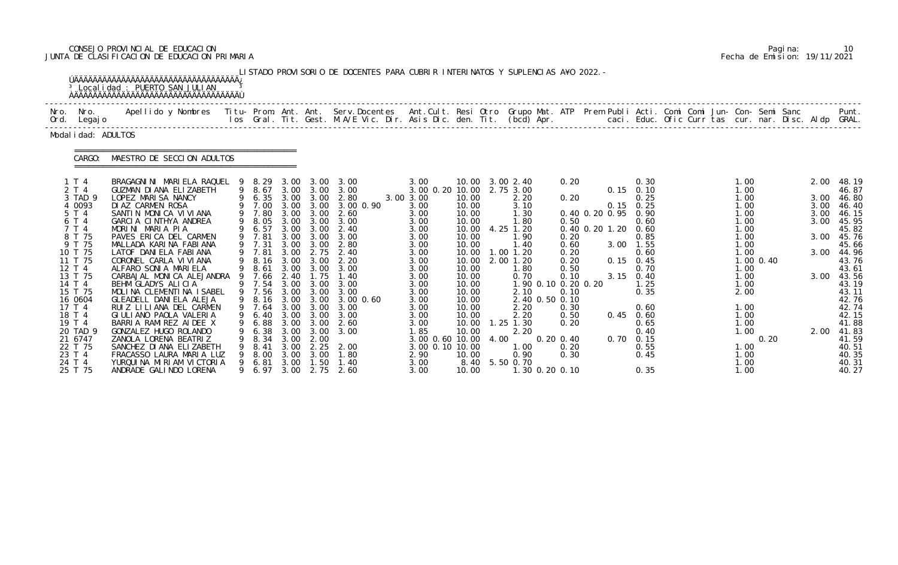# CONSEJO PROVINCIAL DE EDUCACION Pagina: 10 JUNTA DE CLASIFICACION DE EDUCACION PRIMARIA Fecha de Emision: 19/11/2021

|              |                                                                                                                                                                                                                                                              | ÚÄÄÄÄÄÄÄÄÄÄÄÄÄÄÄÄÄÄÄÄÄÄÄÄÄÄÄÄÄÄÄÄÄÄÄÄÄ<br><sup>3</sup> Localidad : PUERTO SAN JULIAN                                                                                                                                                                                                                                                                                                                                                                                                                                                                                                                                                                            |                        |                                                                                                                                                                                                                                    |                                                                                                                                                                                      |                                                                                                                                                                                                   | LISTADO PROVISORIO DE DOCENTES PARA CUBRIR INTERINATOS Y SUPLENCIAS A¥O 2022. -                                                                                                                         |                                                                                                                                                                                                                                             |                                                                                                                                                                                          |      |                                                                                                                                                                                                                                                                                |                                                                                                                                        |                                          |                                                                                                                                                                                                                                |                                                      |                                                                                                                                                                              |                       |                                                                      |                                                                                                                                                                                                                               |
|--------------|--------------------------------------------------------------------------------------------------------------------------------------------------------------------------------------------------------------------------------------------------------------|-----------------------------------------------------------------------------------------------------------------------------------------------------------------------------------------------------------------------------------------------------------------------------------------------------------------------------------------------------------------------------------------------------------------------------------------------------------------------------------------------------------------------------------------------------------------------------------------------------------------------------------------------------------------|------------------------|------------------------------------------------------------------------------------------------------------------------------------------------------------------------------------------------------------------------------------|--------------------------------------------------------------------------------------------------------------------------------------------------------------------------------------|---------------------------------------------------------------------------------------------------------------------------------------------------------------------------------------------------|---------------------------------------------------------------------------------------------------------------------------------------------------------------------------------------------------------|---------------------------------------------------------------------------------------------------------------------------------------------------------------------------------------------------------------------------------------------|------------------------------------------------------------------------------------------------------------------------------------------------------------------------------------------|------|--------------------------------------------------------------------------------------------------------------------------------------------------------------------------------------------------------------------------------------------------------------------------------|----------------------------------------------------------------------------------------------------------------------------------------|------------------------------------------|--------------------------------------------------------------------------------------------------------------------------------------------------------------------------------------------------------------------------------|------------------------------------------------------|------------------------------------------------------------------------------------------------------------------------------------------------------------------------------|-----------------------|----------------------------------------------------------------------|-------------------------------------------------------------------------------------------------------------------------------------------------------------------------------------------------------------------------------|
| Nro.<br>Ord. | Nro.<br>Legaj o                                                                                                                                                                                                                                              | Apellido y Nombres - Titu- Prom. Ant. Ant. Serv.Docentes - Ant.Cult. Resi Otro Grupo Mat. ATP - Prem Publi Acti. Comi Comi Jun- Con- Semi Sanc - Semi Sanc - Semi Sanc - Ios Gral. Tit. Gest. M.A/E Vic. Dir. Asis Dic. den. T                                                                                                                                                                                                                                                                                                                                                                                                                                  |                        |                                                                                                                                                                                                                                    |                                                                                                                                                                                      |                                                                                                                                                                                                   |                                                                                                                                                                                                         |                                                                                                                                                                                                                                             |                                                                                                                                                                                          |      |                                                                                                                                                                                                                                                                                |                                                                                                                                        |                                          |                                                                                                                                                                                                                                | caci. Educ. Ofic Curr tas cur. nar. Disc. Aldp GRAL. |                                                                                                                                                                              |                       |                                                                      | Punt.                                                                                                                                                                                                                         |
|              | Modal i dad: ADULTOS                                                                                                                                                                                                                                         |                                                                                                                                                                                                                                                                                                                                                                                                                                                                                                                                                                                                                                                                 |                        |                                                                                                                                                                                                                                    |                                                                                                                                                                                      |                                                                                                                                                                                                   |                                                                                                                                                                                                         |                                                                                                                                                                                                                                             |                                                                                                                                                                                          |      |                                                                                                                                                                                                                                                                                |                                                                                                                                        |                                          |                                                                                                                                                                                                                                |                                                      |                                                                                                                                                                              |                       |                                                                      |                                                                                                                                                                                                                               |
|              | CARGO:                                                                                                                                                                                                                                                       | MAESTRO DE SECCION ADULTOS                                                                                                                                                                                                                                                                                                                                                                                                                                                                                                                                                                                                                                      |                        |                                                                                                                                                                                                                                    |                                                                                                                                                                                      |                                                                                                                                                                                                   |                                                                                                                                                                                                         |                                                                                                                                                                                                                                             |                                                                                                                                                                                          |      |                                                                                                                                                                                                                                                                                |                                                                                                                                        |                                          |                                                                                                                                                                                                                                |                                                      |                                                                                                                                                                              |                       |                                                                      |                                                                                                                                                                                                                               |
|              | 1 T 4<br>2 T 4<br>3 TAD 9<br>4 0093<br>5 T 4<br>6 T 4<br>7 T 4<br>8 T 75<br>9 T 75<br>10 T 75<br>11 T 75<br>12 T 4<br>13 T 75<br>14 T 4<br>15 T 75<br>16 0604<br>17 T 4<br>18 T 4<br>19 T 4<br>20 TAD 9<br>21 6747<br>22 T 75<br>23 T 4<br>24 T 4<br>25 T 75 | BRAGAGNINI MARIELA RAQUEL<br>GUZMAN DIANA ELIZABETH<br>LOPEZ MARISA NANCY<br>DIAZ CARMEN ROSA<br>SANTIN MONICA VIVIANA<br>GARCIA CINTHYA ANDREA<br>MORINI MARIA PIA<br>PAVES ERICA DEL CARMEN<br>MALLADA KARINA FABIANA<br>LATOF DANI ELA FABI ANA<br>CORONEL CARLA VI VI ANA<br>ALFARO SONIA MARIELA<br>CARBAJAL MONICA ALEJANDRA<br>BEHM GLADYS ALICIA<br>MOLINA CLEMENTINA ISABEL<br>GLEADELL DANIELA ALEJA<br>RUIZ LILIANA DEL CARMEN<br>GI ULI ANO PAOLA VALERIA<br>BARRIA RAMIREZ AIDEE X<br>GONZALEZ HUGO ROLANDO<br>ZANOLA LORENA BEATRIZ<br>SANCHEZ DI ANA ELIZABETH<br>FRACASSO LAURA MARIA LUZ<br>YURQUINA MIRIAM VICTORIA<br>ANDRADE GALINDO LORENA | -9<br>9<br>9<br>9<br>9 | 8. 29<br>9 8.67<br>6.35<br>9 7.00<br>9 7.80<br>8.05<br>6.57<br>7.81<br>9 7.31<br>9 7.81<br>8.16<br>8.61<br>7.66<br>7.54<br>9 7.56<br>9 8.16<br>9 7.64<br>9 6.40 3.00 3.00<br>6.88<br>6.38<br>8.34<br>8.41<br>8.00<br>6.81<br>6. 97 | 3.00<br>3.00<br>3.00<br>3.00<br>3.00<br>3.00<br>3.00<br>3.00<br>3.00<br>3.00<br>3.00<br>2.40<br>3.00<br>3.00<br>3.00<br>3.00<br>3.00<br>3.00<br>3.00<br>3.00<br>3.00<br>3.00<br>3.00 | 3.00<br>3.00<br>3.00 3.00<br>3.00<br>3.00<br>3.00<br>3.00<br>3.00<br>3.00<br>2.75<br>3.00<br>3.00<br>1.75<br>3.00<br>3.00<br>3.00<br>3.00<br>3.00<br>3.00<br>2.00<br>2.25<br>3.00<br>1.50<br>2.75 | 3.00<br>3.00<br>2.80<br>3.00 0.90<br>2.60<br>3.00<br>2.40<br>3.00<br>2.80<br>2.40<br>2.20<br>3.00<br>1.40<br>3.00<br>3.00<br>3.00 0.60<br>3.00<br>3.00<br>2.60<br>3.00<br>2.00<br>1.80<br>1. 40<br>2.60 | 3.00<br>3.00 0.20 10.00<br>3.00 3.00<br>3.00<br>3.00<br>3.00<br>3.00<br>3.00<br>3.00<br>3.00<br>3.00<br>3.00<br>3.00<br>3.00<br>3.00<br>3.00<br>3.00<br>3.00<br>3.00<br>1. 85<br>3.00 0.60 10.00<br>3.00 0.10 10.00<br>2.90<br>3.00<br>3.00 | 10.00<br>10.00<br>10.00<br>10.00<br>10.00<br>10.00<br>10.00<br>10.00<br>10.00<br>10.00<br>10.00<br>10.00<br>10.00<br>10.00<br>10.00<br>10.00<br>10.00<br>10.00<br>10.00<br>8.40<br>10.00 | 4.00 | 10.00 3.00 2.40<br>2.75 3.00<br>2.20<br>3.10<br>1.30<br>1.80<br>4.25 1.20<br>1.90<br>1.40<br>$1.00$ $1.20$<br>2.00 1.20<br>1.80<br>0.70<br>1.90 0.10 0.20 0.20<br>2.10<br>2.40 0.50 0.10<br>2.20<br>2.20<br>$1.25$ 1.30<br>2.20<br>1.00<br>0.90<br>5.50 0.70<br>1.30 0.20 0.10 | 0.20<br>0.20<br>0.50<br>0.20<br>0.60<br>0.20<br>0.20<br>0.50<br>0.10<br>0.10<br>0.30<br>0.50<br>0.20<br>$0.20 \, 0.40$<br>0.20<br>0.30 | 0.40 0.20 0.95<br>0.40 0.20 1.20<br>0.70 | 0.30<br>$0.15$ 0.10<br>0.25<br>$0.15$ 0.25<br>0.90<br>0.60<br>0.60<br>0.85<br>$3.00$ 1.55<br>0.60<br>$0.15$ 0.45<br>0.70<br>$3.15$ 0.40<br>1.25<br>0.35<br>0.60<br>$0.45$ 0.60<br>0.65<br>0.40<br>0.15<br>0.55<br>0.45<br>0.35 |                                                      | 1.00<br>1.00<br>1.00<br>1.00<br>1.00<br>1.00<br>1.00<br>1.00<br>1.00<br>1.00<br>1.00<br>1.00<br>1.00<br>2.00<br>1.00<br>1.00<br>1.00<br>1.00<br>1.00<br>1.00<br>1.00<br>1.00 | $1.00$ $0.40$<br>0.20 | 2.00<br>3.00<br>3.00<br>3.00<br>3.00<br>3.00<br>3.00<br>3.00<br>2.00 | 48.19<br>46.87<br>46.80<br>46.40<br>46.15<br>45.95<br>45.82<br>45.76<br>45.66<br>44.96<br>43.76<br>43.61<br>43.56<br>43.19<br>43.11<br>42.76<br>42.74<br>42.15<br>41.88<br>41.83<br>41.59<br>40.51<br>40.35<br>40.31<br>40.27 |

|  | Pagi na: |                              |
|--|----------|------------------------------|
|  |          | Fecha de Emision: 19/11/2021 |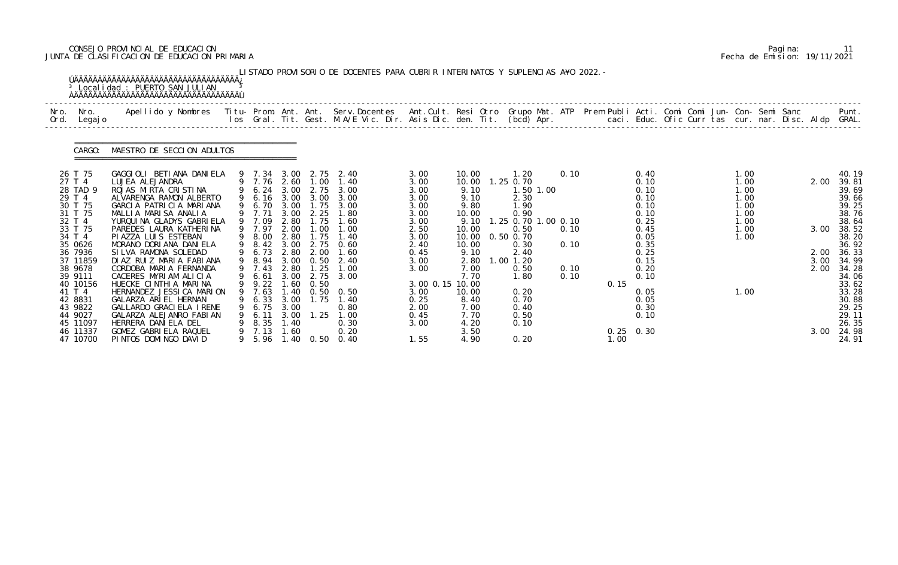# CONSEJO PROVINCIAL DE EDUCACION Pagina: 11 JUNTA DE CLASIFICACION DE EDUCACION PRIMARIA Fecha de Emision: 19/11/2021

| Nro. | Nro.                                                                                                                                                             | Apellido y Nombres  Titu- Prom. Ant. Ant. Serv.Docentes  Ant.Cult. Resi Otro Grupo Mat. ATP Prem Publi Acti. Comi Comi Jun- Con- Semi Sanc             Punt.<br>Ios Gral. Tit. Gest. M.A/E Vic. Dir. Asis Dic. den. Tit. (bcd) Ap                                                                                                                                                            |                                                                                                                                                                     |                                                                              |                                                                                                           | LISTADO PROVISORIO DE DOCENTES PARA CUBRIR INTERINATOS Y SUPLENCIAS A¥O 2022. –                                                                                 |                                                                                                                         |                                                                                                                    |                                                                                                                                               |           |                                      |                     |                                                                                                              |  |                                                                      |  |                                      | Punt.                                                                                                                               |
|------|------------------------------------------------------------------------------------------------------------------------------------------------------------------|----------------------------------------------------------------------------------------------------------------------------------------------------------------------------------------------------------------------------------------------------------------------------------------------------------------------------------------------------------------------------------------------|---------------------------------------------------------------------------------------------------------------------------------------------------------------------|------------------------------------------------------------------------------|-----------------------------------------------------------------------------------------------------------|-----------------------------------------------------------------------------------------------------------------------------------------------------------------|-------------------------------------------------------------------------------------------------------------------------|--------------------------------------------------------------------------------------------------------------------|-----------------------------------------------------------------------------------------------------------------------------------------------|-----------|--------------------------------------|---------------------|--------------------------------------------------------------------------------------------------------------|--|----------------------------------------------------------------------|--|--------------------------------------|-------------------------------------------------------------------------------------------------------------------------------------|
| Ord. | Legaj o                                                                                                                                                          |                                                                                                                                                                                                                                                                                                                                                                                              |                                                                                                                                                                     |                                                                              |                                                                                                           |                                                                                                                                                                 |                                                                                                                         |                                                                                                                    |                                                                                                                                               |           |                                      |                     |                                                                                                              |  |                                                                      |  |                                      |                                                                                                                                     |
|      | CARGO:                                                                                                                                                           | MAESTRO DE SECCION ADULTOS                                                                                                                                                                                                                                                                                                                                                                   |                                                                                                                                                                     |                                                                              |                                                                                                           |                                                                                                                                                                 |                                                                                                                         |                                                                                                                    |                                                                                                                                               |           |                                      |                     |                                                                                                              |  |                                                                      |  |                                      |                                                                                                                                     |
|      | 26 T 75<br>27 T 4<br>28 TAD 9<br>29 T 4<br>30 T 75<br>31 T 75<br>32 T 4<br>33 T 75<br>34 T 4<br>35 0626<br>36 7936<br>37 11859<br>38 9678<br>39 9111<br>40 10156 | GAGGIOLI BETIANA DANIELA<br>LUJEA ALEJANDRA<br>ROJAS MIRTA CRISTINA<br>ALVARENGA RAMON ALBERTO<br>GARCIA PATRICIA MARIANA<br>MALLIA MARISA ANALIA<br>YURQUI NA GLADYS GABRI ELA<br>PAREDES LAURA KATHERINA<br>PI AZZA LUI S ESTEBAN<br>MORANO DORIANA DANIELA<br>SILVA RAMONA SOLEDAD<br>DIAZ RUIZ MARIA FABIANA<br>CORDOBA MARIA FERNANDA<br>CACERES MYRIAM ALICIA<br>HUECKE CINTHIA MARINA | 9 6.24 3.00<br>$\begin{array}{cc} 9 & 6.70 \\ 9 & 7.71 \end{array}$<br>9 7.09<br>9 7.97<br>9 8.00<br>9 8.42<br>9 6.73<br>9 8.94<br>9 7.43<br>6.61<br>$9 \quad 9.22$ | 3.00<br>3.00<br>2.80<br>2.00<br>2.80<br>3.00<br>2.80<br>2.80<br>3.00<br>1.60 | 2.75<br>1.75<br>2.25<br>1.75<br>1.00<br>1.75<br>2.75<br>2.00<br>$3.00 \quad 0.50$<br>1.25<br>2.75<br>0.50 | 9 7.34 3.00 2.75 2.40<br>9 7.76 2.60 1.00 1.40<br>3.00<br>9 6.16 3.00 3.00 3.00<br>3.00<br>1.80<br>1.60<br>1.00<br>1.40<br>0.60<br>1.60<br>2.40<br>1.00<br>3.00 | 3.00<br>3.00<br>3.00<br>3.00<br>3.00<br>3.00<br>3.00<br>2.50<br>3.00<br>2.40<br>0.45<br>3.00<br>3.00<br>3.00 0.15 10.00 | 10.00<br>10.00<br>9.10<br>9.10<br>9.80<br>10.00<br>9.10<br>10.00<br>10.00<br>10.00<br>9.10<br>2.80<br>7.00<br>7.70 | 1. 20<br>$1.25$ 0.70<br>2.30<br>1.90<br>0.90<br>1.25 0.70 1.00 0.10<br>0.50<br>$0.50$ $0.70$<br>0.30<br>2.40<br>$1.00$ $1.20$<br>0.50<br>1.80 | 1.50 1.00 | 0.10<br>0.10<br>0.10<br>0.10<br>0.10 | 0.15                | 0.40<br>0.10<br>0.10<br>0.10<br>0.10<br>0.10<br>0.25<br>0.45<br>0.05<br>0.35<br>0.25<br>0.15<br>0.20<br>0.10 |  | 1.00<br>1.00<br>1.00<br>1.00<br>1.00<br>1.00<br>1.00<br>1.00<br>1.00 |  | 2.00<br>3.00<br>2.00<br>3.00<br>2.00 | 40.19<br>39.81<br>39.69<br>39.66<br>39.25<br>38.76<br>38.64<br>38.52<br>38.20<br>36.92<br>36.33<br>34.99<br>34.28<br>34.06<br>33.62 |
|      | 41 T 4<br>42 8831<br>43 9822<br>44 9027<br>45 11097<br>46 11337<br>47 10700                                                                                      | HERNANDEZ JESSI CA MARION<br>GALARZA ARIEL HERNAN<br>GALLARDO GRACIELA IRENE<br>GALARZA ALEJANRO FABIAN<br>HERRERA DANIELA DEL<br>GOMEZ GABRIELA RAQUEL<br>PINTOS DOMINGO DAVID                                                                                                                                                                                                              | 9 7.63<br>9 6.33<br>9 6.75<br>9 6.11<br>9 8.35<br>9 7.13 1.60                                                                                                       | 1.40<br>3.00<br>3.00<br>3.00<br>1.40                                         | 1.75                                                                                                      | $0.50 \quad 0.50$<br>1.40<br>0.80<br>$1.25$ $1.00$<br>0.30<br>0.20<br>9 5.96 1.40 0.50 0.40                                                                     | 3.00<br>0.25<br>2.00<br>0.45<br>3.00<br>1.55                                                                            | 10.00<br>8.40<br>7.00<br>7.70<br>4.20<br>3.50<br>4.90                                                              | 0.20<br>0.70<br>0.40<br>0.50<br>0.10<br>0.20                                                                                                  |           |                                      | $0.25$ 0.30<br>1.00 | 0.05<br>0.05<br>0.30<br>0.10                                                                                 |  | 1.00                                                                 |  | 3.00                                 | 33.28<br>30.88<br>29.25<br>29.11<br>26.35<br>24.98<br>24.91                                                                         |

|  | Pagi na: |                              |
|--|----------|------------------------------|
|  |          | Fecha de Emision: 19/11/2021 |